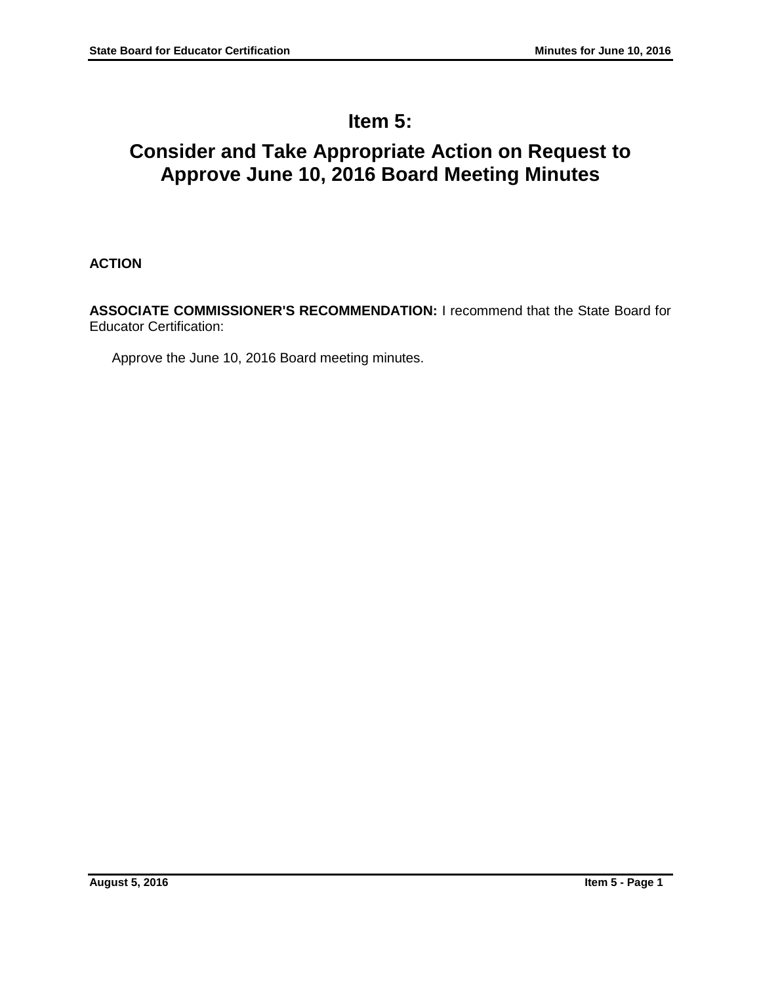# **Item 5:**

# **Consider and Take Appropriate Action on Request to Approve June 10, 2016 Board Meeting Minutes**

**ACTION**

**ASSOCIATE COMMISSIONER'S RECOMMENDATION:** I recommend that the State Board for Educator Certification:

Approve the June 10, 2016 Board meeting minutes.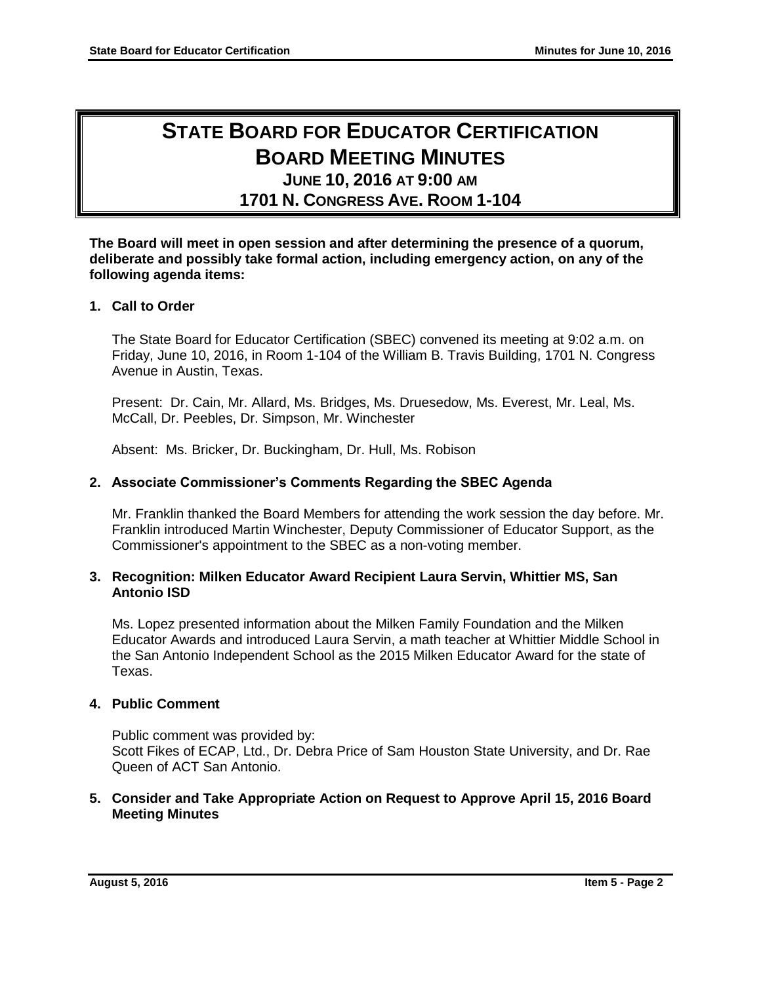## **STATE BOARD FOR EDUCATOR CERTIFICATION BOARD MEETING MINUTES JUNE 10, 2016 AT 9:00 AM**

## **1701 N. CONGRESS AVE. ROOM 1-104**

## **The Board will meet in open session and after determining the presence of a quorum, deliberate and possibly take formal action, including emergency action, on any of the following agenda items:**

## **1. Call to Order**

The State Board for Educator Certification (SBEC) convened its meeting at 9:02 a.m. on Friday, June 10, 2016, in Room 1-104 of the William B. Travis Building, 1701 N. Congress Avenue in Austin, Texas.

Present: Dr. Cain, Mr. Allard, Ms. Bridges, Ms. Druesedow, Ms. Everest, Mr. Leal, Ms. McCall, Dr. Peebles, Dr. Simpson, Mr. Winchester

Absent: Ms. Bricker, Dr. Buckingham, Dr. Hull, Ms. Robison

## **2. Associate Commissioner's Comments Regarding the SBEC Agenda**

Mr. Franklin thanked the Board Members for attending the work session the day before. Mr. Franklin introduced Martin Winchester, Deputy Commissioner of Educator Support, as the Commissioner's appointment to the SBEC as a non-voting member.

### **3. Recognition: Milken Educator Award Recipient Laura Servin, Whittier MS, San Antonio ISD**

Ms. Lopez presented information about the Milken Family Foundation and the Milken Educator Awards and introduced Laura Servin, a math teacher at Whittier Middle School in the San Antonio Independent School as the 2015 Milken Educator Award for the state of Texas.

## **4. Public Comment**

Public comment was provided by: Scott Fikes of ECAP, Ltd., Dr. Debra Price of Sam Houston State University, and Dr. Rae Queen of ACT San Antonio.

### **5. Consider and Take Appropriate Action on Request to Approve April 15, 2016 Board Meeting Minutes**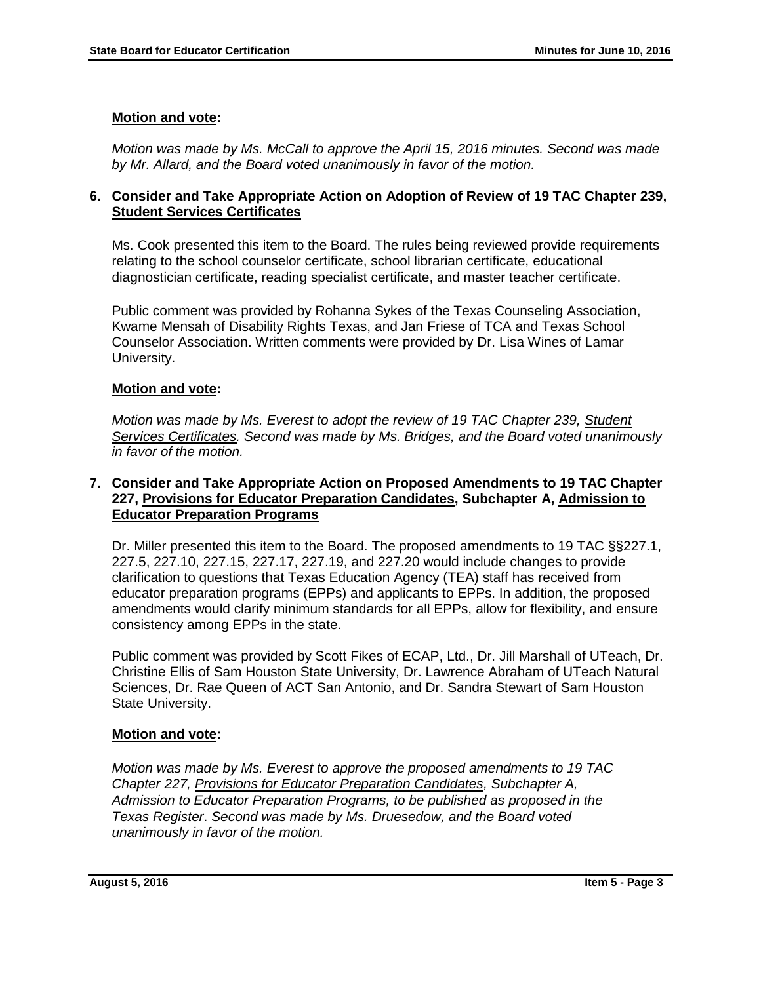## **Motion and vote:**

*Motion was made by Ms. McCall to approve the April 15, 2016 minutes. Second was made by Mr. Allard, and the Board voted unanimously in favor of the motion.*

## **6. Consider and Take Appropriate Action on Adoption of Review of 19 TAC Chapter 239, Student Services Certificates**

Ms. Cook presented this item to the Board. The rules being reviewed provide requirements relating to the school counselor certificate, school librarian certificate, educational diagnostician certificate, reading specialist certificate, and master teacher certificate.

Public comment was provided by Rohanna Sykes of the Texas Counseling Association, Kwame Mensah of Disability Rights Texas, and Jan Friese of TCA and Texas School Counselor Association. Written comments were provided by Dr. Lisa Wines of Lamar University.

## **Motion and vote:**

*Motion was made by Ms. Everest to adopt the review of 19 TAC Chapter 239, Student Services Certificates. Second was made by Ms. Bridges, and the Board voted unanimously in favor of the motion.*

## **7. Consider and Take Appropriate Action on Proposed Amendments to 19 TAC Chapter 227, Provisions for Educator Preparation Candidates, Subchapter A, Admission to Educator Preparation Programs**

Dr. Miller presented this item to the Board. The proposed amendments to 19 TAC §§227.1, 227.5, 227.10, 227.15, 227.17, 227.19, and 227.20 would include changes to provide clarification to questions that Texas Education Agency (TEA) staff has received from educator preparation programs (EPPs) and applicants to EPPs. In addition, the proposed amendments would clarify minimum standards for all EPPs, allow for flexibility, and ensure consistency among EPPs in the state.

Public comment was provided by Scott Fikes of ECAP, Ltd., Dr. Jill Marshall of UTeach, Dr. Christine Ellis of Sam Houston State University, Dr. Lawrence Abraham of UTeach Natural Sciences, Dr. Rae Queen of ACT San Antonio, and Dr. Sandra Stewart of Sam Houston State University.

## **Motion and vote:**

*Motion was made by Ms. Everest to approve the proposed amendments to 19 TAC Chapter 227, Provisions for Educator Preparation Candidates, Subchapter A, Admission to Educator Preparation Programs, to be published as proposed in the Texas Register*. *Second was made by Ms. Druesedow, and the Board voted unanimously in favor of the motion.*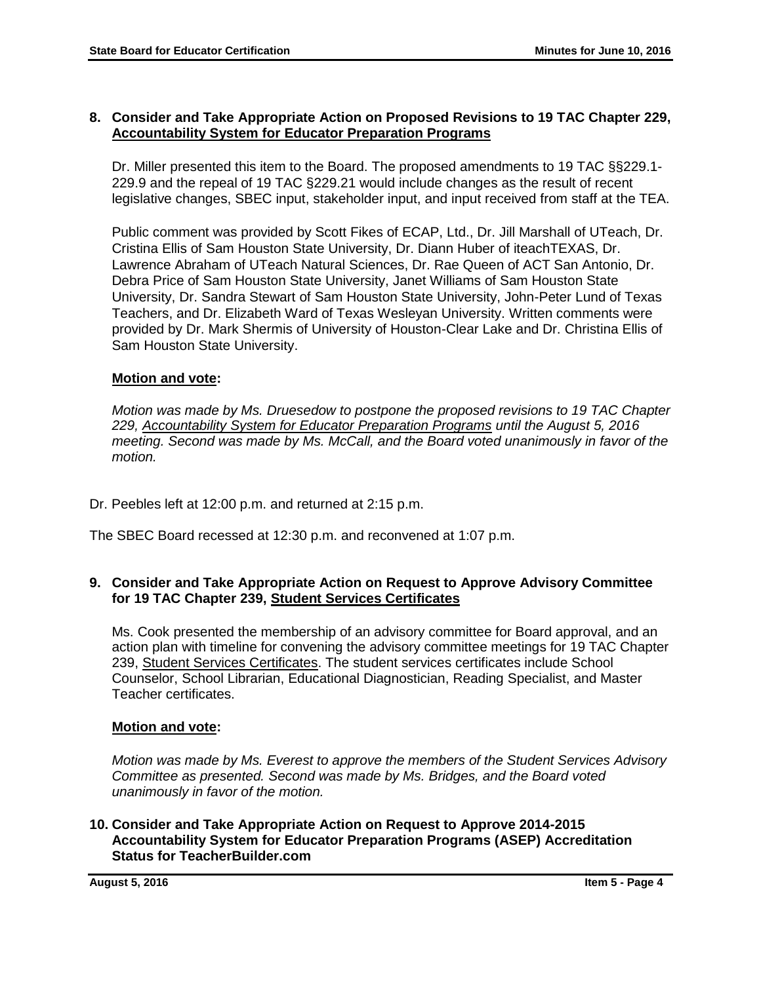## **8. Consider and Take Appropriate Action on Proposed Revisions to 19 TAC Chapter 229, Accountability System for Educator Preparation Programs**

Dr. Miller presented this item to the Board. The proposed amendments to 19 TAC §§229.1- 229.9 and the repeal of 19 TAC §229.21 would include changes as the result of recent legislative changes, SBEC input, stakeholder input, and input received from staff at the TEA.

Public comment was provided by Scott Fikes of ECAP, Ltd., Dr. Jill Marshall of UTeach, Dr. Cristina Ellis of Sam Houston State University, Dr. Diann Huber of iteachTEXAS, Dr. Lawrence Abraham of UTeach Natural Sciences, Dr. Rae Queen of ACT San Antonio, Dr. Debra Price of Sam Houston State University, Janet Williams of Sam Houston State University, Dr. Sandra Stewart of Sam Houston State University, John-Peter Lund of Texas Teachers, and Dr. Elizabeth Ward of Texas Wesleyan University. Written comments were provided by Dr. Mark Shermis of University of Houston-Clear Lake and Dr. Christina Ellis of Sam Houston State University.

## **Motion and vote:**

*Motion was made by Ms. Druesedow to postpone the proposed revisions to 19 TAC Chapter 229, Accountability System for Educator Preparation Programs until the August 5, 2016 meeting. Second was made by Ms. McCall, and the Board voted unanimously in favor of the motion.*

Dr. Peebles left at 12:00 p.m. and returned at 2:15 p.m.

The SBEC Board recessed at 12:30 p.m. and reconvened at 1:07 p.m.

## **9. Consider and Take Appropriate Action on Request to Approve Advisory Committee for 19 TAC Chapter 239, Student Services Certificates**

Ms. Cook presented the membership of an advisory committee for Board approval, and an action plan with timeline for convening the advisory committee meetings for 19 TAC Chapter 239, Student Services Certificates. The student services certificates include School Counselor, School Librarian, Educational Diagnostician, Reading Specialist, and Master Teacher certificates.

## **Motion and vote:**

*Motion was made by Ms. Everest to approve the members of the Student Services Advisory Committee as presented. Second was made by Ms. Bridges, and the Board voted unanimously in favor of the motion.*

## **10. Consider and Take Appropriate Action on Request to Approve 2014-2015 Accountability System for Educator Preparation Programs (ASEP) Accreditation Status for TeacherBuilder.com**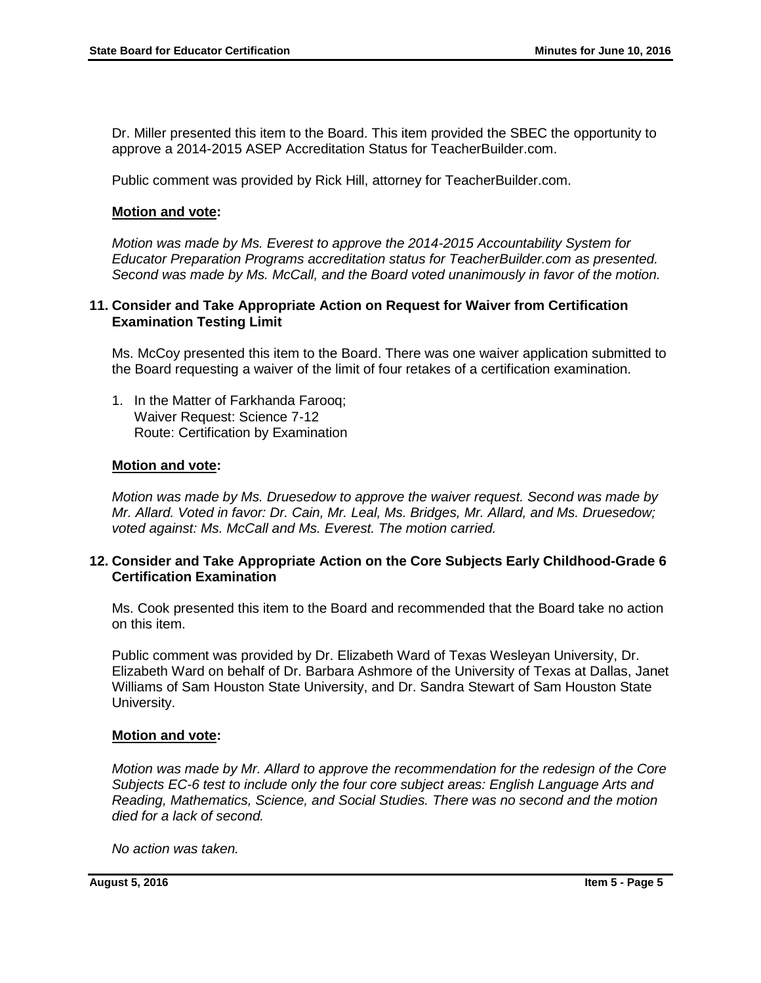Dr. Miller presented this item to the Board. This item provided the SBEC the opportunity to approve a 2014-2015 ASEP Accreditation Status for TeacherBuilder.com.

Public comment was provided by Rick Hill, attorney for TeacherBuilder.com.

#### **Motion and vote:**

*Motion was made by Ms. Everest to approve the 2014-2015 Accountability System for Educator Preparation Programs accreditation status for TeacherBuilder.com as presented. Second was made by Ms. McCall, and the Board voted unanimously in favor of the motion.*

#### **11. Consider and Take Appropriate Action on Request for Waiver from Certification Examination Testing Limit**

Ms. McCoy presented this item to the Board. There was one waiver application submitted to the Board requesting a waiver of the limit of four retakes of a certification examination.

1. In the Matter of Farkhanda Farooq; Waiver Request: Science 7-12 Route: Certification by Examination

#### **Motion and vote:**

*Motion was made by Ms. Druesedow to approve the waiver request. Second was made by Mr. Allard. Voted in favor: Dr. Cain, Mr. Leal, Ms. Bridges, Mr. Allard, and Ms. Druesedow; voted against: Ms. McCall and Ms. Everest. The motion carried.*

### **12. Consider and Take Appropriate Action on the Core Subjects Early Childhood-Grade 6 Certification Examination**

Ms. Cook presented this item to the Board and recommended that the Board take no action on this item.

Public comment was provided by Dr. Elizabeth Ward of Texas Wesleyan University, Dr. Elizabeth Ward on behalf of Dr. Barbara Ashmore of the University of Texas at Dallas, Janet Williams of Sam Houston State University, and Dr. Sandra Stewart of Sam Houston State University.

#### **Motion and vote:**

*Motion was made by Mr. Allard to approve the recommendation for the redesign of the Core Subjects EC-6 test to include only the four core subject areas: English Language Arts and Reading, Mathematics, Science, and Social Studies. There was no second and the motion died for a lack of second.*

*No action was taken.*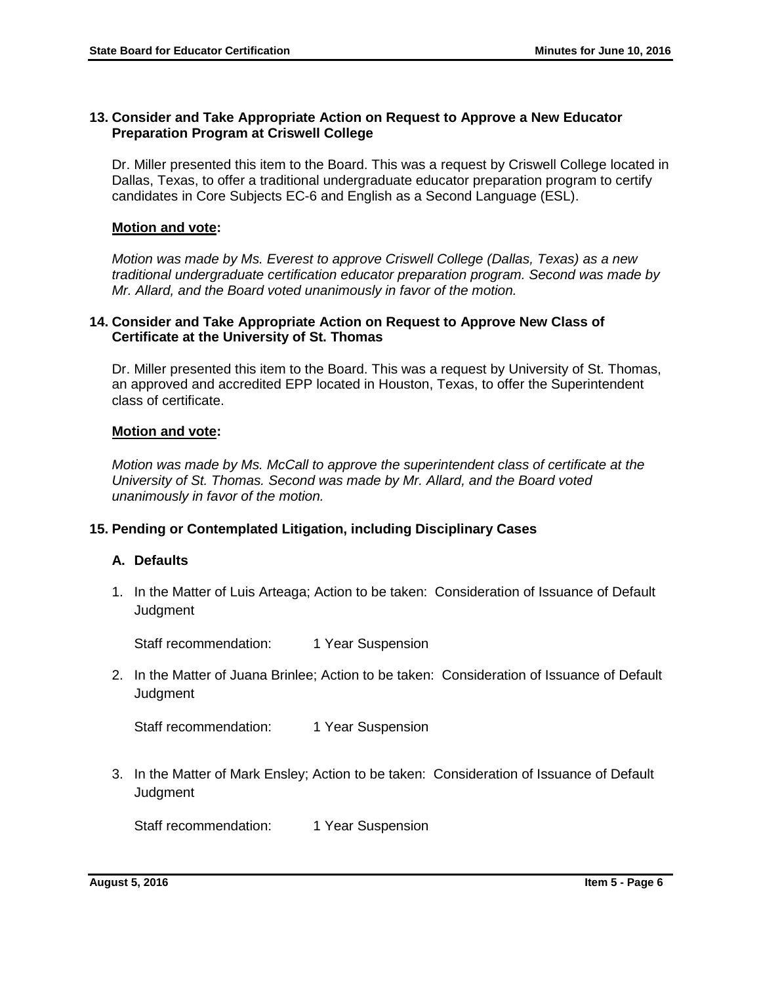## **13. Consider and Take Appropriate Action on Request to Approve a New Educator Preparation Program at Criswell College**

Dr. Miller presented this item to the Board. This was a request by Criswell College located in Dallas, Texas, to offer a traditional undergraduate educator preparation program to certify candidates in Core Subjects EC-6 and English as a Second Language (ESL).

#### **Motion and vote:**

*Motion was made by Ms. Everest to approve Criswell College (Dallas, Texas) as a new traditional undergraduate certification educator preparation program. Second was made by Mr. Allard, and the Board voted unanimously in favor of the motion.*

### **14. Consider and Take Appropriate Action on Request to Approve New Class of Certificate at the University of St. Thomas**

Dr. Miller presented this item to the Board. This was a request by University of St. Thomas, an approved and accredited EPP located in Houston, Texas, to offer the Superintendent class of certificate.

### **Motion and vote:**

*Motion was made by Ms. McCall to approve the superintendent class of certificate at the University of St. Thomas. Second was made by Mr. Allard, and the Board voted unanimously in favor of the motion.*

## **15. Pending or Contemplated Litigation, including Disciplinary Cases**

## **A. Defaults**

1. In the Matter of Luis Arteaga; Action to be taken: Consideration of Issuance of Default **Judament** 

Staff recommendation: 1 Year Suspension

2. In the Matter of Juana Brinlee; Action to be taken: Consideration of Issuance of Default **Judgment** 

Staff recommendation: 1 Year Suspension

3. In the Matter of Mark Ensley; Action to be taken: Consideration of Issuance of Default **Judgment** 

Staff recommendation: 1 Year Suspension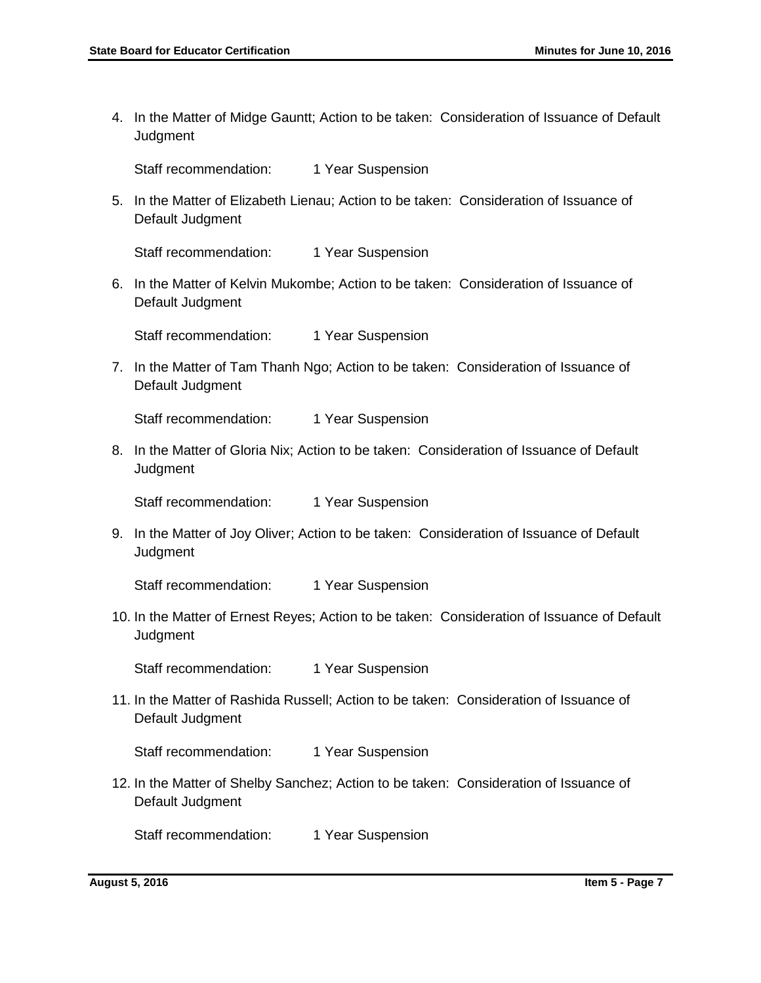4. In the Matter of Midge Gauntt; Action to be taken: Consideration of Issuance of Default **Judgment** 

Staff recommendation: 1 Year Suspension

5. In the Matter of Elizabeth Lienau; Action to be taken: Consideration of Issuance of Default Judgment

Staff recommendation: 1 Year Suspension

6. In the Matter of Kelvin Mukombe; Action to be taken: Consideration of Issuance of Default Judgment

Staff recommendation: 1 Year Suspension

7. In the Matter of Tam Thanh Ngo; Action to be taken: Consideration of Issuance of Default Judgment

Staff recommendation: 1 Year Suspension

8. In the Matter of Gloria Nix; Action to be taken: Consideration of Issuance of Default **Judgment** 

Staff recommendation: 1 Year Suspension

9. In the Matter of Joy Oliver; Action to be taken: Consideration of Issuance of Default **Judgment** 

Staff recommendation: 1 Year Suspension

10. In the Matter of Ernest Reyes; Action to be taken: Consideration of Issuance of Default **Judgment** 

Staff recommendation: 1 Year Suspension

11. In the Matter of Rashida Russell; Action to be taken: Consideration of Issuance of Default Judgment

Staff recommendation: 1 Year Suspension

12. In the Matter of Shelby Sanchez; Action to be taken: Consideration of Issuance of Default Judgment

Staff recommendation: 1 Year Suspension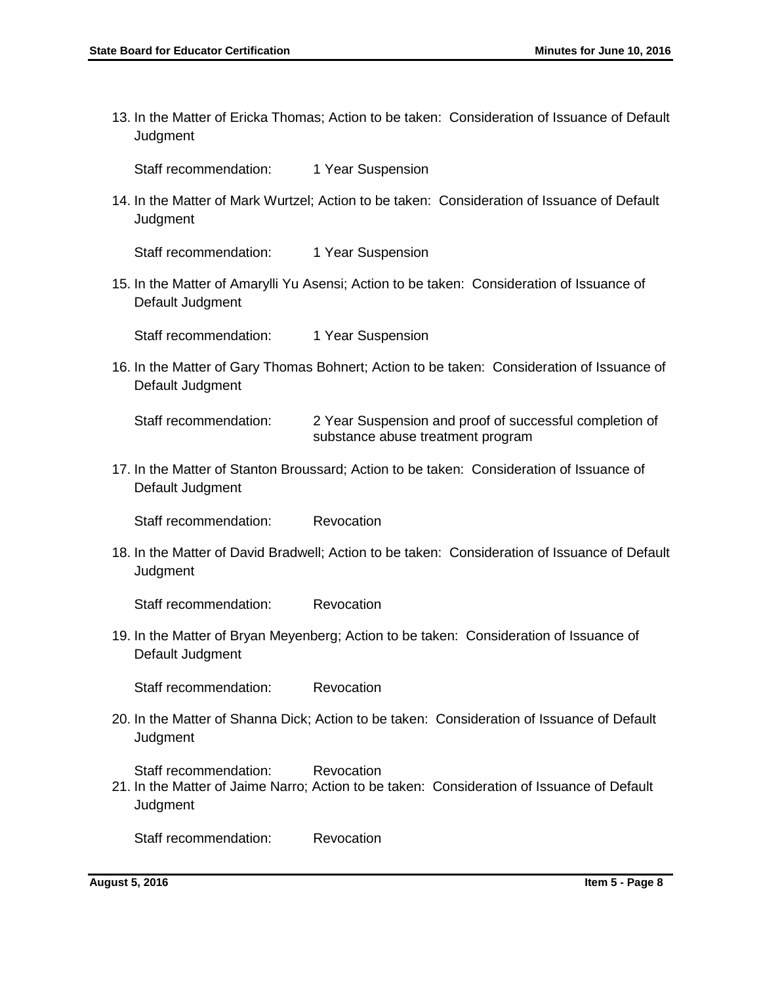13. In the Matter of Ericka Thomas; Action to be taken: Consideration of Issuance of Default **Judgment** 

Staff recommendation: 1 Year Suspension

14. In the Matter of Mark Wurtzel; Action to be taken: Consideration of Issuance of Default **Judgment** 

Staff recommendation: 1 Year Suspension

15. In the Matter of Amarylli Yu Asensi; Action to be taken: Consideration of Issuance of Default Judgment

Staff recommendation: 1 Year Suspension

16. In the Matter of Gary Thomas Bohnert; Action to be taken: Consideration of Issuance of Default Judgment

Staff recommendation: 2 Year Suspension and proof of successful completion of substance abuse treatment program

17. In the Matter of Stanton Broussard; Action to be taken: Consideration of Issuance of Default Judgment

Staff recommendation: Revocation

18. In the Matter of David Bradwell; Action to be taken: Consideration of Issuance of Default **Judgment** 

Staff recommendation: Revocation

19. In the Matter of Bryan Meyenberg; Action to be taken: Consideration of Issuance of Default Judgment

Staff recommendation: Revocation

20. In the Matter of Shanna Dick; Action to be taken: Consideration of Issuance of Default **Judgment** 

Staff recommendation: Revocation

21. In the Matter of Jaime Narro; Action to be taken: Consideration of Issuance of Default **Judgment** 

Staff recommendation: Revocation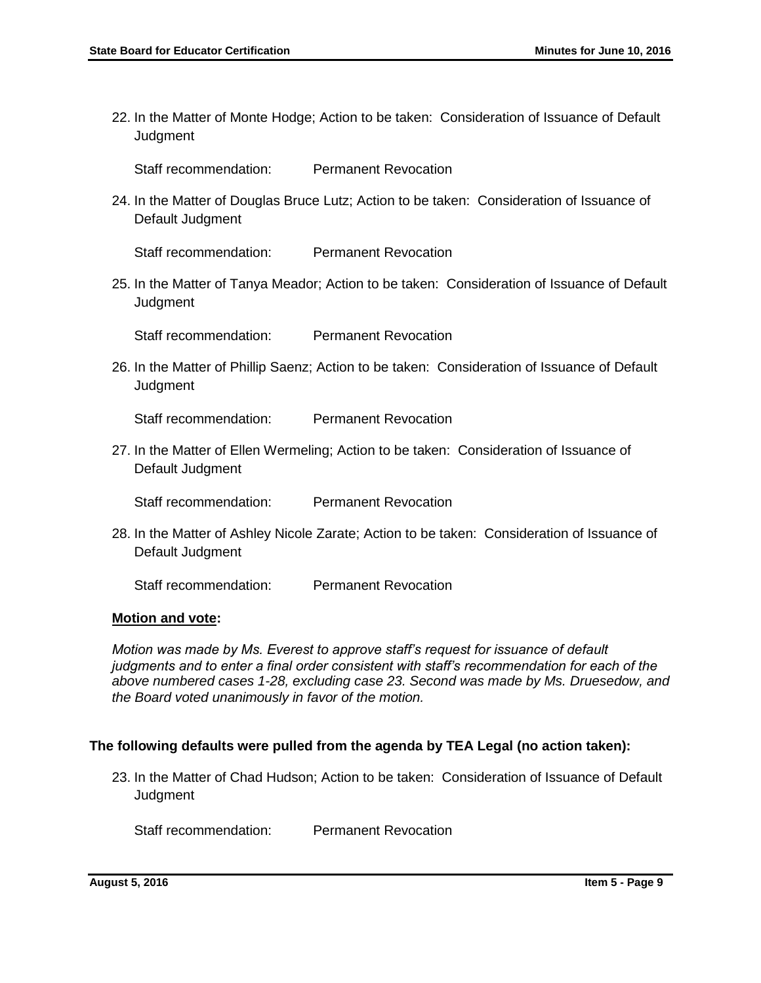22. In the Matter of Monte Hodge; Action to be taken: Consideration of Issuance of Default **Judgment** 

Staff recommendation: Permanent Revocation

24. In the Matter of Douglas Bruce Lutz; Action to be taken: Consideration of Issuance of Default Judgment

Staff recommendation: Permanent Revocation

25. In the Matter of Tanya Meador; Action to be taken: Consideration of Issuance of Default **Judgment** 

Staff recommendation: Permanent Revocation

26. In the Matter of Phillip Saenz; Action to be taken: Consideration of Issuance of Default **Judgment** 

Staff recommendation: Permanent Revocation

27. In the Matter of Ellen Wermeling; Action to be taken: Consideration of Issuance of Default Judgment

Staff recommendation: Permanent Revocation

28. In the Matter of Ashley Nicole Zarate; Action to be taken: Consideration of Issuance of Default Judgment

Staff recommendation: Permanent Revocation

#### **Motion and vote:**

*Motion was made by Ms. Everest to approve staff's request for issuance of default judgments and to enter a final order consistent with staff's recommendation for each of the above numbered cases 1-28, excluding case 23. Second was made by Ms. Druesedow, and the Board voted unanimously in favor of the motion.*

#### **The following defaults were pulled from the agenda by TEA Legal (no action taken):**

23. In the Matter of Chad Hudson; Action to be taken: Consideration of Issuance of Default **Judgment** 

Staff recommendation: Permanent Revocation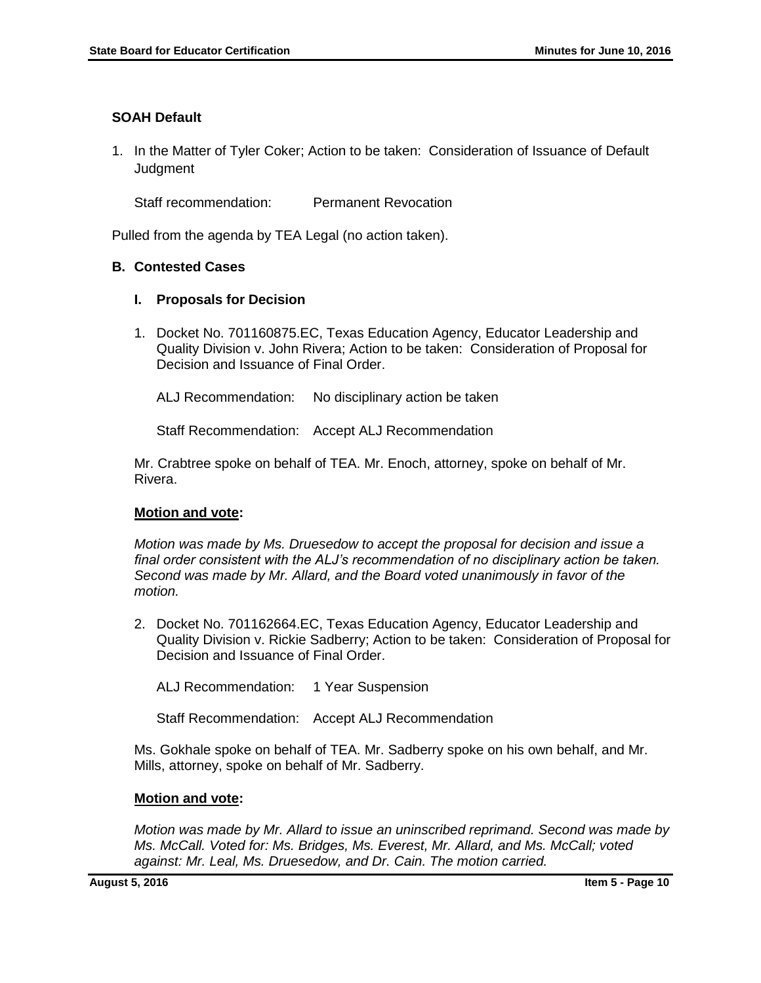## **SOAH Default**

1. In the Matter of Tyler Coker; Action to be taken: Consideration of Issuance of Default **Judgment** 

Staff recommendation: Permanent Revocation

Pulled from the agenda by TEA Legal (no action taken).

## **B. Contested Cases**

## **I. Proposals for Decision**

1. Docket No. 701160875.EC, Texas Education Agency, Educator Leadership and Quality Division v. John Rivera; Action to be taken: Consideration of Proposal for Decision and Issuance of Final Order.

ALJ Recommendation: No disciplinary action be taken

Staff Recommendation: Accept ALJ Recommendation

Mr. Crabtree spoke on behalf of TEA. Mr. Enoch, attorney, spoke on behalf of Mr. Rivera.

## **Motion and vote:**

*Motion was made by Ms. Druesedow to accept the proposal for decision and issue a final order consistent with the ALJ's recommendation of no disciplinary action be taken. Second was made by Mr. Allard, and the Board voted unanimously in favor of the motion.*

2. Docket No. 701162664.EC, Texas Education Agency, Educator Leadership and Quality Division v. Rickie Sadberry; Action to be taken: Consideration of Proposal for Decision and Issuance of Final Order.

ALJ Recommendation: 1 Year Suspension

Staff Recommendation: Accept ALJ Recommendation

Ms. Gokhale spoke on behalf of TEA. Mr. Sadberry spoke on his own behalf, and Mr. Mills, attorney, spoke on behalf of Mr. Sadberry.

## **Motion and vote:**

*Motion was made by Mr. Allard to issue an uninscribed reprimand. Second was made by Ms. McCall. Voted for: Ms. Bridges, Ms. Everest, Mr. Allard, and Ms. McCall; voted against: Mr. Leal, Ms. Druesedow, and Dr. Cain. The motion carried.*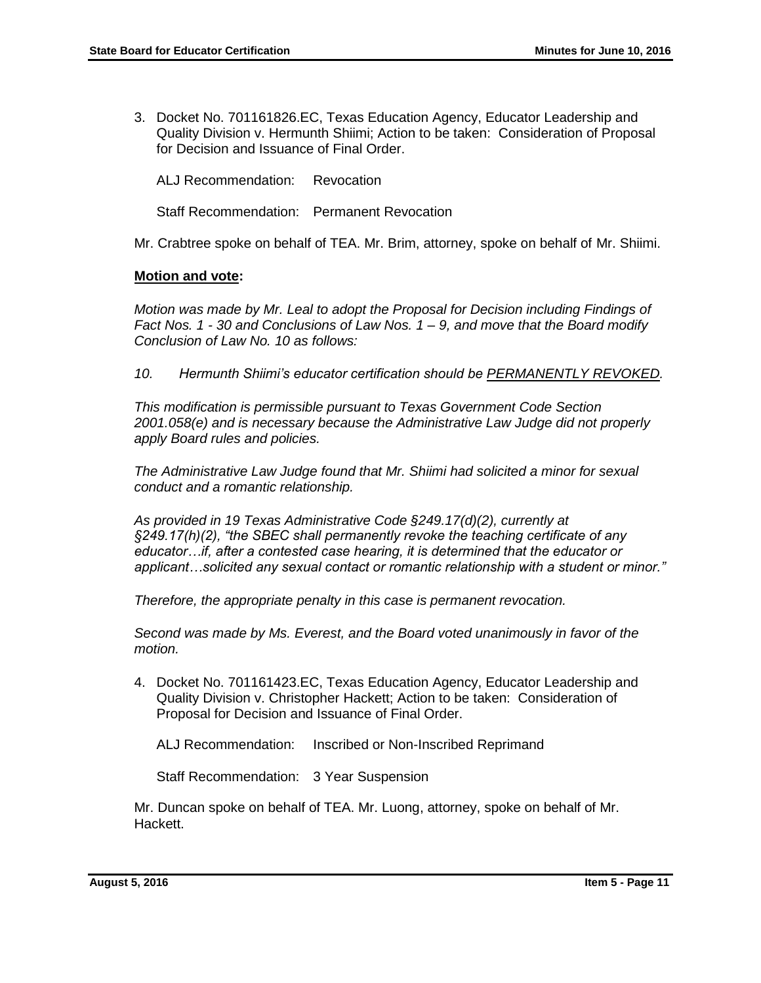3. Docket No. 701161826.EC, Texas Education Agency, Educator Leadership and Quality Division v. Hermunth Shiimi; Action to be taken: Consideration of Proposal for Decision and Issuance of Final Order.

ALJ Recommendation: Revocation

Staff Recommendation: Permanent Revocation

Mr. Crabtree spoke on behalf of TEA. Mr. Brim, attorney, spoke on behalf of Mr. Shiimi.

#### **Motion and vote:**

*Motion was made by Mr. Leal to adopt the Proposal for Decision including Findings of Fact Nos. 1 - 30 and Conclusions of Law Nos. 1 – 9, and move that the Board modify Conclusion of Law No. 10 as follows:*

*10. Hermunth Shiimi's educator certification should be PERMANENTLY REVOKED.*

*This modification is permissible pursuant to Texas Government Code Section 2001.058(e) and is necessary because the Administrative Law Judge did not properly apply Board rules and policies.* 

*The Administrative Law Judge found that Mr. Shiimi had solicited a minor for sexual conduct and a romantic relationship.* 

*As provided in 19 Texas Administrative Code §249.17(d)(2), currently at §249.17(h)(2), "the SBEC shall permanently revoke the teaching certificate of any educator…if, after a contested case hearing, it is determined that the educator or applicant…solicited any sexual contact or romantic relationship with a student or minor."* 

*Therefore, the appropriate penalty in this case is permanent revocation.*

*Second was made by Ms. Everest, and the Board voted unanimously in favor of the motion.*

4. Docket No. 701161423.EC, Texas Education Agency, Educator Leadership and Quality Division v. Christopher Hackett; Action to be taken: Consideration of Proposal for Decision and Issuance of Final Order.

ALJ Recommendation: Inscribed or Non-Inscribed Reprimand

Staff Recommendation: 3 Year Suspension

Mr. Duncan spoke on behalf of TEA. Mr. Luong, attorney, spoke on behalf of Mr. Hackett.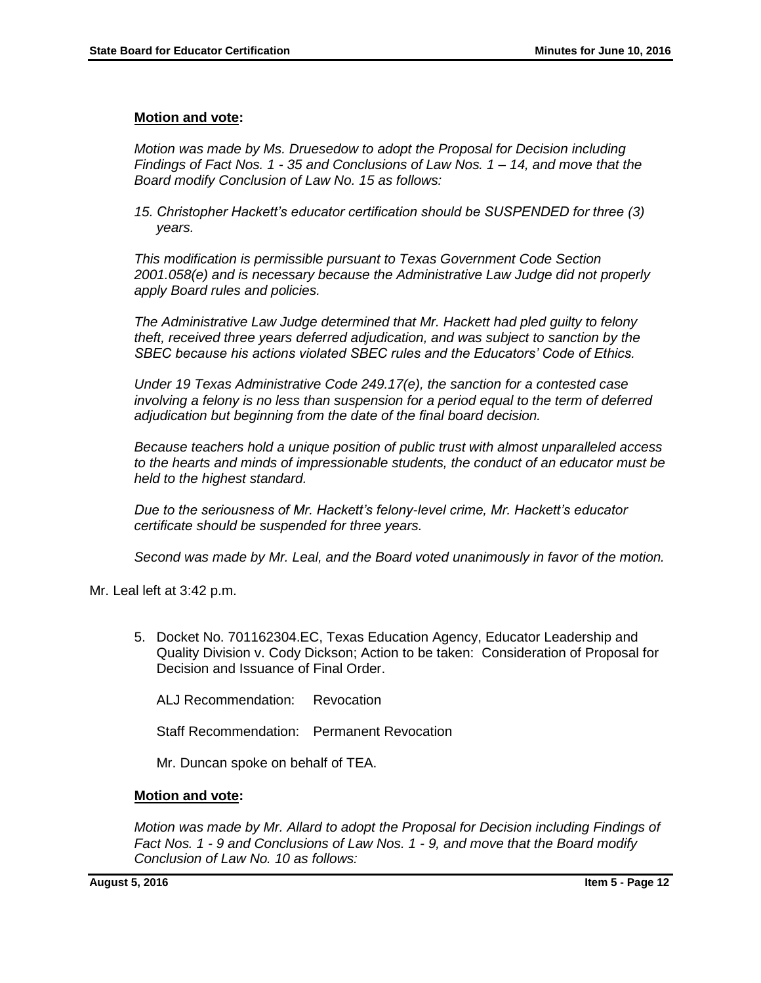#### **Motion and vote:**

*Motion was made by Ms. Druesedow to adopt the Proposal for Decision including Findings of Fact Nos. 1 - 35 and Conclusions of Law Nos. 1 – 14, and move that the Board modify Conclusion of Law No. 15 as follows:*

*15. Christopher Hackett's educator certification should be SUSPENDED for three (3) years.*

*This modification is permissible pursuant to Texas Government Code Section 2001.058(e) and is necessary because the Administrative Law Judge did not properly apply Board rules and policies.* 

*The Administrative Law Judge determined that Mr. Hackett had pled guilty to felony theft, received three years deferred adjudication, and was subject to sanction by the SBEC because his actions violated SBEC rules and the Educators' Code of Ethics.* 

*Under 19 Texas Administrative Code 249.17(e), the sanction for a contested case involving a felony is no less than suspension for a period equal to the term of deferred adjudication but beginning from the date of the final board decision.* 

*Because teachers hold a unique position of public trust with almost unparalleled access to the hearts and minds of impressionable students, the conduct of an educator must be held to the highest standard.* 

*Due to the seriousness of Mr. Hackett's felony-level crime, Mr. Hackett's educator certificate should be suspended for three years.*

*Second was made by Mr. Leal, and the Board voted unanimously in favor of the motion.*

Mr. Leal left at 3:42 p.m.

5. Docket No. 701162304.EC, Texas Education Agency, Educator Leadership and Quality Division v. Cody Dickson; Action to be taken: Consideration of Proposal for Decision and Issuance of Final Order.

ALJ Recommendation: Revocation

Staff Recommendation: Permanent Revocation

Mr. Duncan spoke on behalf of TEA.

#### **Motion and vote:**

*Motion was made by Mr. Allard to adopt the Proposal for Decision including Findings of Fact Nos. 1 - 9 and Conclusions of Law Nos. 1 - 9, and move that the Board modify Conclusion of Law No. 10 as follows:*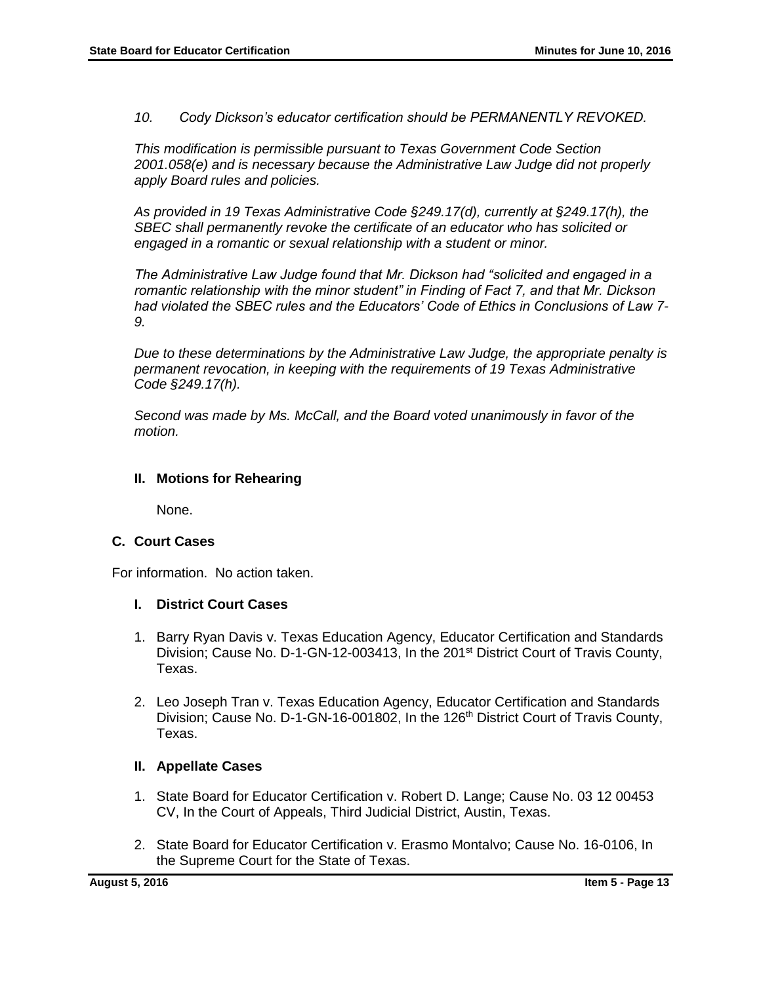*10. Cody Dickson's educator certification should be PERMANENTLY REVOKED.*

*This modification is permissible pursuant to Texas Government Code Section 2001.058(e) and is necessary because the Administrative Law Judge did not properly apply Board rules and policies.* 

*As provided in 19 Texas Administrative Code §249.17(d), currently at §249.17(h), the SBEC shall permanently revoke the certificate of an educator who has solicited or engaged in a romantic or sexual relationship with a student or minor.*

*The Administrative Law Judge found that Mr. Dickson had "solicited and engaged in a romantic relationship with the minor student" in Finding of Fact 7, and that Mr. Dickson had violated the SBEC rules and the Educators' Code of Ethics in Conclusions of Law 7- 9.* 

*Due to these determinations by the Administrative Law Judge, the appropriate penalty is permanent revocation, in keeping with the requirements of 19 Texas Administrative Code §249.17(h).* 

*Second was made by Ms. McCall, and the Board voted unanimously in favor of the motion.*

#### **II. Motions for Rehearing**

None.

#### **C. Court Cases**

For information. No action taken.

#### **I. District Court Cases**

- 1. Barry Ryan Davis v. Texas Education Agency, Educator Certification and Standards Division; Cause No. D-1-GN-12-003413, In the 201<sup>st</sup> District Court of Travis County, Texas.
- 2. Leo Joseph Tran v. Texas Education Agency, Educator Certification and Standards Division; Cause No. D-1-GN-16-001802, In the 126<sup>th</sup> District Court of Travis County, Texas.

#### **II. Appellate Cases**

- 1. State Board for Educator Certification v. Robert D. Lange; Cause No. 03 12 00453 CV, In the Court of Appeals, Third Judicial District, Austin, Texas.
- 2. State Board for Educator Certification v. Erasmo Montalvo; Cause No. 16-0106, In the Supreme Court for the State of Texas.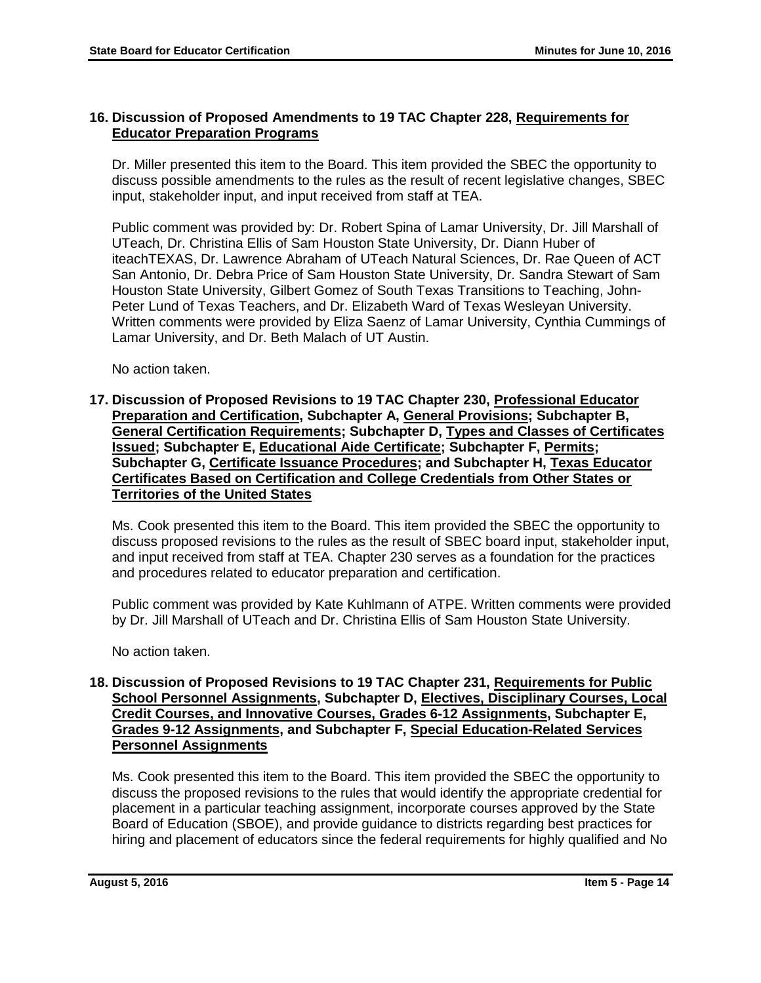## **16. Discussion of Proposed Amendments to 19 TAC Chapter 228, Requirements for Educator Preparation Programs**

Dr. Miller presented this item to the Board. This item provided the SBEC the opportunity to discuss possible amendments to the rules as the result of recent legislative changes, SBEC input, stakeholder input, and input received from staff at TEA.

Public comment was provided by: Dr. Robert Spina of Lamar University, Dr. Jill Marshall of UTeach, Dr. Christina Ellis of Sam Houston State University, Dr. Diann Huber of iteachTEXAS, Dr. Lawrence Abraham of UTeach Natural Sciences, Dr. Rae Queen of ACT San Antonio, Dr. Debra Price of Sam Houston State University, Dr. Sandra Stewart of Sam Houston State University, Gilbert Gomez of South Texas Transitions to Teaching, John-Peter Lund of Texas Teachers, and Dr. Elizabeth Ward of Texas Wesleyan University. Written comments were provided by Eliza Saenz of Lamar University, Cynthia Cummings of Lamar University, and Dr. Beth Malach of UT Austin.

No action taken.

**17. Discussion of Proposed Revisions to 19 TAC Chapter 230, Professional Educator Preparation and Certification, Subchapter A, General Provisions; Subchapter B, General Certification Requirements; Subchapter D, Types and Classes of Certificates Issued; Subchapter E, Educational Aide Certificate; Subchapter F, Permits; Subchapter G, Certificate Issuance Procedures; and Subchapter H, Texas Educator Certificates Based on Certification and College Credentials from Other States or Territories of the United States**

Ms. Cook presented this item to the Board. This item provided the SBEC the opportunity to discuss proposed revisions to the rules as the result of SBEC board input, stakeholder input, and input received from staff at TEA. Chapter 230 serves as a foundation for the practices and procedures related to educator preparation and certification.

Public comment was provided by Kate Kuhlmann of ATPE. Written comments were provided by Dr. Jill Marshall of UTeach and Dr. Christina Ellis of Sam Houston State University.

No action taken.

## **18. Discussion of Proposed Revisions to 19 TAC Chapter 231, Requirements for Public School Personnel Assignments, Subchapter D, Electives, Disciplinary Courses, Local Credit Courses, and Innovative Courses, Grades 6-12 Assignments, Subchapter E, Grades 9-12 Assignments, and Subchapter F, Special Education-Related Services Personnel Assignments**

Ms. Cook presented this item to the Board. This item provided the SBEC the opportunity to discuss the proposed revisions to the rules that would identify the appropriate credential for placement in a particular teaching assignment, incorporate courses approved by the State Board of Education (SBOE), and provide guidance to districts regarding best practices for hiring and placement of educators since the federal requirements for highly qualified and No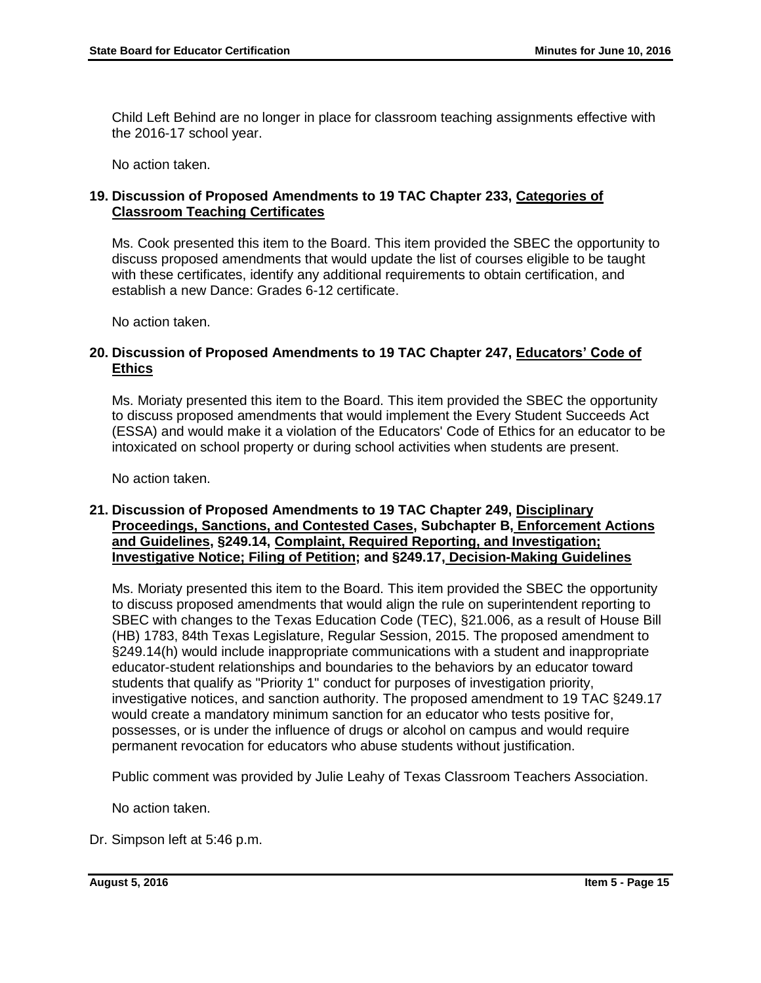Child Left Behind are no longer in place for classroom teaching assignments effective with the 2016-17 school year.

No action taken.

## **19. Discussion of Proposed Amendments to 19 TAC Chapter 233, Categories of Classroom Teaching Certificates**

Ms. Cook presented this item to the Board. This item provided the SBEC the opportunity to discuss proposed amendments that would update the list of courses eligible to be taught with these certificates, identify any additional requirements to obtain certification, and establish a new Dance: Grades 6-12 certificate.

No action taken.

## **20. Discussion of Proposed Amendments to 19 TAC Chapter 247, Educators' Code of Ethics**

Ms. Moriaty presented this item to the Board. This item provided the SBEC the opportunity to discuss proposed amendments that would implement the Every Student Succeeds Act (ESSA) and would make it a violation of the Educators' Code of Ethics for an educator to be intoxicated on school property or during school activities when students are present.

No action taken.

## **21. Discussion of Proposed Amendments to 19 TAC Chapter 249, Disciplinary Proceedings, Sanctions, and Contested Cases, Subchapter B, Enforcement Actions and Guidelines, §249.14, Complaint, Required Reporting, and Investigation; Investigative Notice; Filing of Petition; and §249.17, Decision-Making Guidelines**

Ms. Moriaty presented this item to the Board. This item provided the SBEC the opportunity to discuss proposed amendments that would align the rule on superintendent reporting to SBEC with changes to the Texas Education Code (TEC), §21.006, as a result of House Bill (HB) 1783, 84th Texas Legislature, Regular Session, 2015. The proposed amendment to §249.14(h) would include inappropriate communications with a student and inappropriate educator-student relationships and boundaries to the behaviors by an educator toward students that qualify as "Priority 1" conduct for purposes of investigation priority, investigative notices, and sanction authority. The proposed amendment to 19 TAC §249.17 would create a mandatory minimum sanction for an educator who tests positive for, possesses, or is under the influence of drugs or alcohol on campus and would require permanent revocation for educators who abuse students without justification.

Public comment was provided by Julie Leahy of Texas Classroom Teachers Association.

No action taken.

Dr. Simpson left at 5:46 p.m.